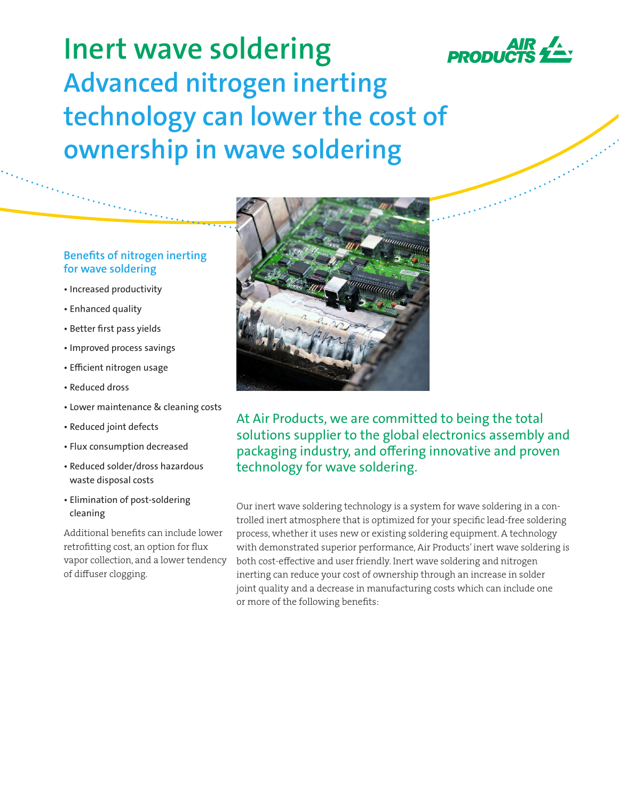

**Inert wave soldering Advanced nitrogen inerting technology can lower the cost of ownership in wave soldering**

## **Benefits of nitrogen inerting for wave soldering**

- Increased productivity
- Enhanced quality
- Better first pass yields
- Improved process savings
- Efficient nitrogen usage
- Reduced dross
- Lower maintenance & cleaning costs
- Reduced joint defects
- Flux consumption decreased
- Reduced solder/dross hazardous waste disposal costs
- Elimination of post-soldering cleaning

Additional benefits can include lower retrofitting cost, an option for flux vapor collection, and a lower tendency of diffuser clogging.



At Air Products, we are committed to being the total solutions supplier to the global electronics assembly and packaging industry, and offering innovative and proven technology for wave soldering.

Our inert wave soldering technology is a system for wave soldering in a controlled inert atmosphere that is optimized for your specific lead-free soldering process, whether it uses new or existing soldering equipment. A technology with demonstrated superior performance, Air Products' inert wave soldering is both cost-effective and user friendly. Inert wave soldering and nitrogen inerting can reduce your cost of ownership through an increase in solder joint quality and a decrease in manufacturing costs which can include one or more of the following benefits: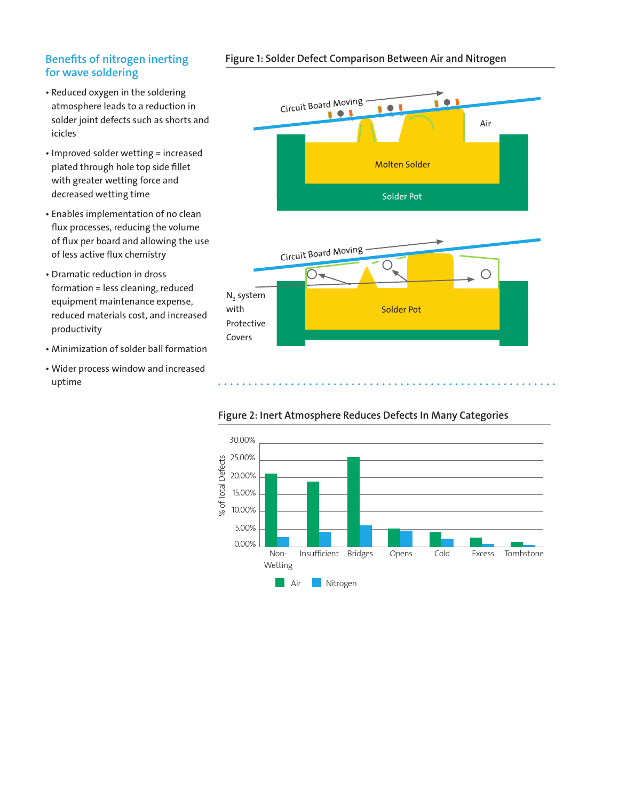## **Benefits of nitrogen inerting for wave soldering**

- Reduced oxygen in the soldering atmosphere leads to a reduction in solder joint defects such as shorts and icicles
- Improved solder wetting = increased plated through hole top side fillet with greater wetting force and decreased wetting time
- Enables implementation of no clean flux processes, reducing the volume of flux per board and allowing the use of less active flux chemistry
- Dramatic reduction in dross formation = less cleaning, reduced equipment maintenance expense, reduced materials cost, and increased productivity
- Minimization of solder ball formation
- Wider process window and increased uptime





### **Figure 2: Inert Atmosphere Reduces Defects In Many Categories**

#### **Figure 1: Solder Defect Comparison Between Air and Nitrogen**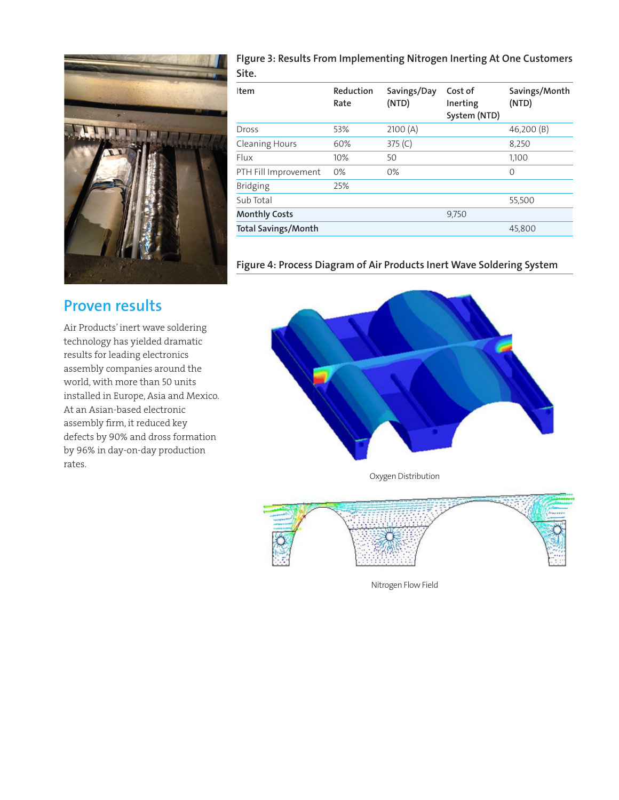

**FIgure 3: Results From Implementing Nitrogen Inerting At One Customers Site.**

| Item                       | Reduction<br>Rate | Savings/Day<br>(NTD) | Cost of<br>Inerting<br>System (NTD) | Savings/Month<br>(NTD) |
|----------------------------|-------------------|----------------------|-------------------------------------|------------------------|
| Dross                      | 53%               | 2100(A)              |                                     | 46,200 (B)             |
| <b>Cleaning Hours</b>      | 60%               | 375 $(C)$            |                                     | 8,250                  |
| Flux                       | 10%               | 50                   |                                     | 1.100                  |
| PTH Fill Improvement       | $0\%$             | $0\%$                |                                     | 0                      |
| <b>Bridging</b>            | 25%               |                      |                                     |                        |
| Sub Total                  |                   |                      |                                     | 55,500                 |
| <b>Monthly Costs</b>       |                   |                      | 9,750                               |                        |
| <b>Total Savings/Month</b> |                   |                      |                                     | 45,800                 |

**Figure 4: Process Diagram of Air Products Inert Wave Soldering System**

# **Proven results**

Air Products' inert wave soldering technology has yielded dramatic results for leading electronics assembly companies around the world, with more than 50 units installed in Europe, Asia and Mexico. At an Asian-based electronic assembly firm, it reduced key defects by 90% and dross formation by 96% in day-on-day production rates.



Oxygen Distribution



Nitrogen Flow Field